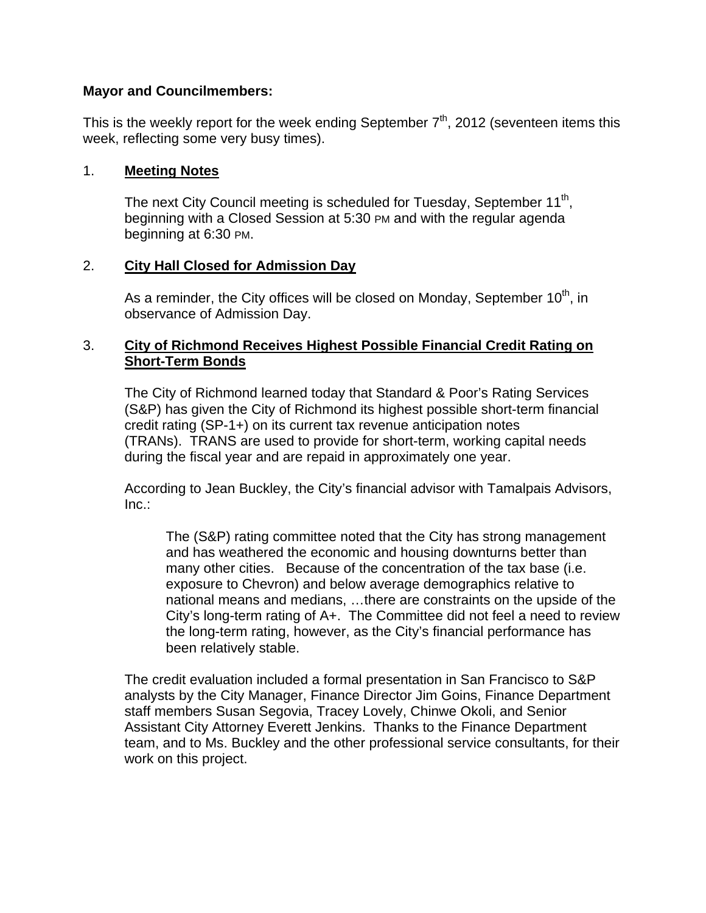### **Mayor and Councilmembers:**

This is the weekly report for the week ending September  $7<sup>th</sup>$ , 2012 (seventeen items this week, reflecting some very busy times).

### 1. **Meeting Notes**

The next City Council meeting is scheduled for Tuesday, September  $11<sup>th</sup>$ , beginning with a Closed Session at 5:30 PM and with the regular agenda beginning at 6:30 PM.

### 2. **City Hall Closed for Admission Day**

As a reminder, the City offices will be closed on Monday, September  $10<sup>th</sup>$ , in observance of Admission Day.

## 3. **City of Richmond Receives Highest Possible Financial Credit Rating on Short-Term Bonds**

The City of Richmond learned today that Standard & Poor's Rating Services (S&P) has given the City of Richmond its highest possible short-term financial credit rating (SP-1+) on its current tax revenue anticipation notes (TRANs). TRANS are used to provide for short-term, working capital needs during the fiscal year and are repaid in approximately one year.

According to Jean Buckley, the City's financial advisor with Tamalpais Advisors, Inc.:

The (S&P) rating committee noted that the City has strong management and has weathered the economic and housing downturns better than many other cities. Because of the concentration of the tax base (i.e. exposure to Chevron) and below average demographics relative to national means and medians, …there are constraints on the upside of the City's long-term rating of A+. The Committee did not feel a need to review the long-term rating, however, as the City's financial performance has been relatively stable.

The credit evaluation included a formal presentation in San Francisco to S&P analysts by the City Manager, Finance Director Jim Goins, Finance Department staff members Susan Segovia, Tracey Lovely, Chinwe Okoli, and Senior Assistant City Attorney Everett Jenkins. Thanks to the Finance Department team, and to Ms. Buckley and the other professional service consultants, for their work on this project.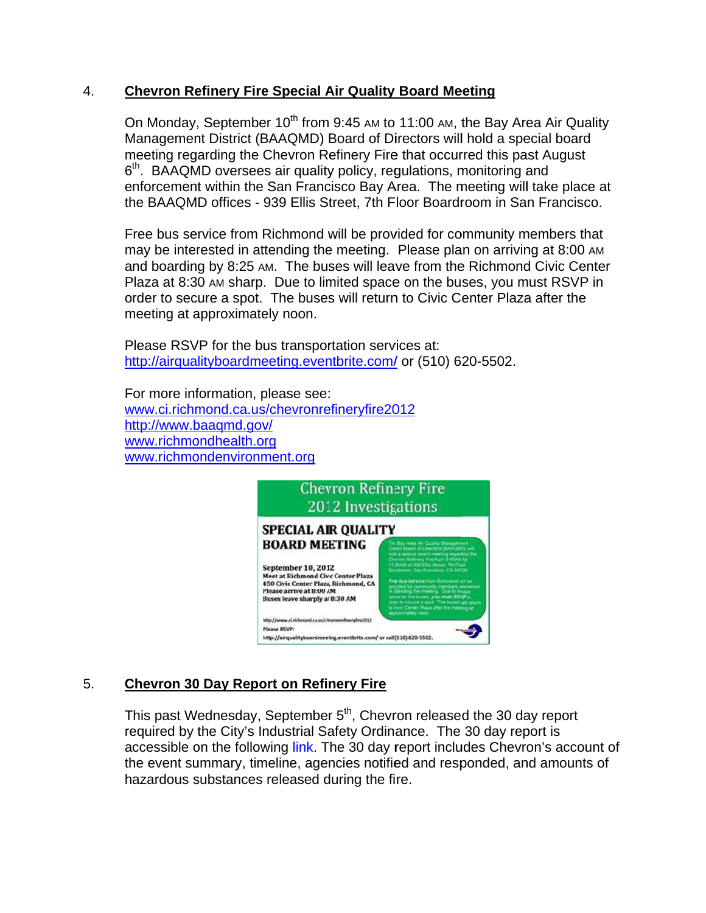#### $\overline{4}$ . **Chevron Refinery Fire Special Air Quality Board Meeting**

On Monday, September 10<sup>th</sup> from 9:45 AM to 11:00 AM, the Bay Area Air Quality Management District (BAAQMD) Board of Directors will hold a special board meeting regarding the Chevron Refinery Fire that occurred this past August 6<sup>th</sup>. BAAQMD oversees air quality policy, regulations, monitoring and enforcement within the San Francisco Bay Area. The meeting will take place at the BAAQMD offices - 939 Ellis Street, 7th Floor Boardroom in San Francisco.

Free bus service from Richmond will be provided for community members that may be interested in attending the meeting. Please plan on arriving at 8:00 AM and boarding by 8:25 AM. The buses will leave from the Richmond Civic Center Plaza at 8:30 AM sharp. Due to limited space on the buses, you must RSVP in order to secure a spot. The buses will return to Civic Center Plaza after the meeting at approximately noon.

Please RSVP for the bus transportation services at: http://airqualityboardmeeting.eventbrite.com/ or (510) 620-5502.

For more information, please see: www.ci.richmond.ca.us/chevronrefineryfire2012 http://www.baagmd.gov/ www.richmondhealth.org www.richmondenvironment.org



#### 5. **Chevron 30 Day Report on Refinery Fire**

This past Wednesday, September 5<sup>th</sup>, Chevron released the 30 day report required by the City's Industrial Safety Ordinance. The 30 day report is accessible on the following link. The 30 day report includes Chevron's account of the event summary, timeline, agencies notified and responded, and amounts of hazardous substances released during the fire.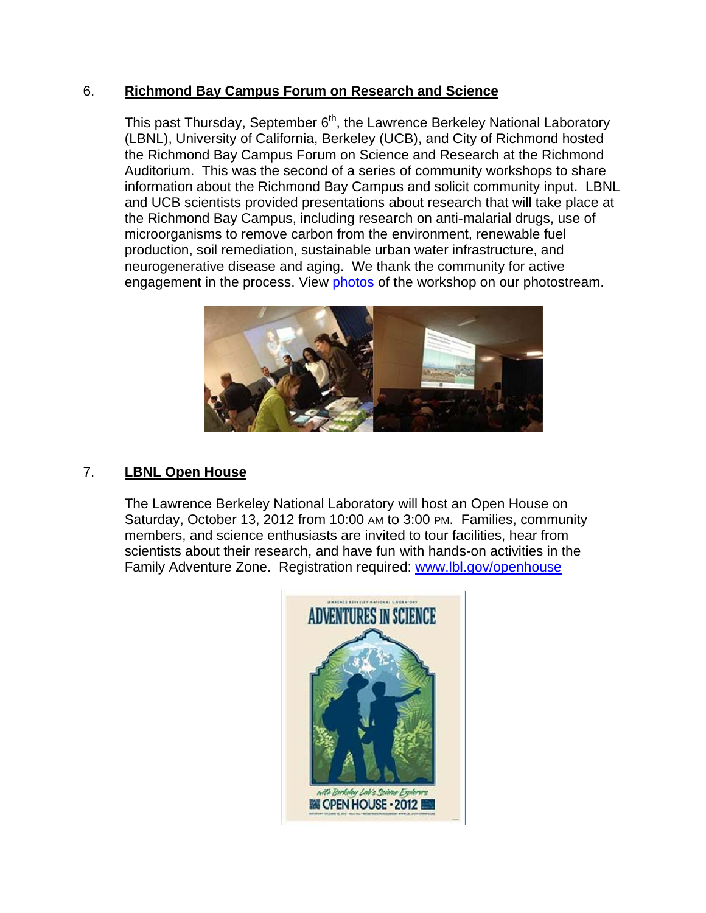#### 6. **Richmond Bay Campus Forum on Research and Science**

This past Thursday, September 6<sup>th</sup>, the Lawrence Berkeley National Laboratory (LBNL), University of California, Berkeley (UCB), and City of Richmond hosted the Richmond Bay Campus Forum on Science and Research at the Richmond Auditorium. This was the second of a series of community workshops to share information about the Richmond Bay Campus and solicit community input. LBNL and UCB scientists provided presentations about research that will take place at the Richmond Bay Campus, including research on anti-malarial drugs, use of microorganisms to remove carbon from the environment, renewable fuel production, soil remediation, sustainable urban water infrastructure, and neurogenerative disease and aging. We thank the community for active engagement in the process. View photos of the workshop on our photostream.



#### $7<sup>1</sup>$ **LBNL Open House**

The Lawrence Berkeley National Laboratory will host an Open House on Saturday, October 13, 2012 from 10:00 AM to 3:00 PM. Families, community members, and science enthusiasts are invited to tour facilities, hear from scientists about their research, and have fun with hands-on activities in the Family Adventure Zone. Registration required: www.lbl.gov/openhouse

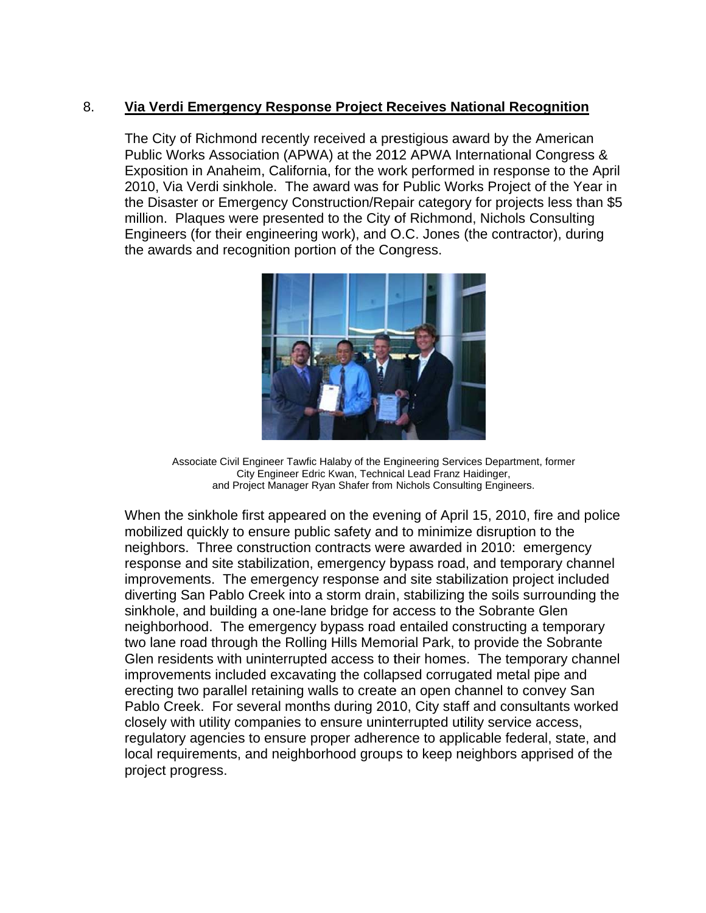#### $8<sub>1</sub>$ Via Verdi Emergency Response Project Receives National Recognition

The City of Richmond recently received a prestigious award by the American Public Works Association (APWA) at the 2012 APWA International Congress & Exposition in Anaheim, California, for the work performed in response to the April 2010, Via Verdi sinkhole. The award was for Public Works Project of the Year in the Disaster or Emergency Construction/Repair category for projects less than \$5 million. Plaques were presented to the City of Richmond, Nichols Consulting Engineers (for their engineering work), and O.C. Jones (the contractor), during the awards and recognition portion of the Congress.



Associate Civil Engineer Tawfic Halaby of the Engineering Services Department, former City Engineer Edric Kwan, Technical Lead Franz Haidinger, and Project Manager Ryan Shafer from Nichols Consulting Engineers.

When the sinkhole first appeared on the evening of April 15, 2010, fire and police mobilized quickly to ensure public safety and to minimize disruption to the neighbors. Three construction contracts were awarded in 2010: emergency response and site stabilization, emergency bypass road, and temporary channel improvements. The emergency response and site stabilization project included diverting San Pablo Creek into a storm drain, stabilizing the soils surrounding the sinkhole, and building a one-lane bridge for access to the Sobrante Glen neighborhood. The emergency bypass road entailed constructing a temporary two lane road through the Rolling Hills Memorial Park, to provide the Sobrante Glen residents with uninterrupted access to their homes. The temporary channel improvements included excavating the collapsed corrugated metal pipe and erecting two parallel retaining walls to create an open channel to convey San Pablo Creek. For several months during 2010, City staff and consultants worked closely with utility companies to ensure uninterrupted utility service access, regulatory agencies to ensure proper adherence to applicable federal, state, and local requirements, and neighborhood groups to keep neighbors apprised of the project progress.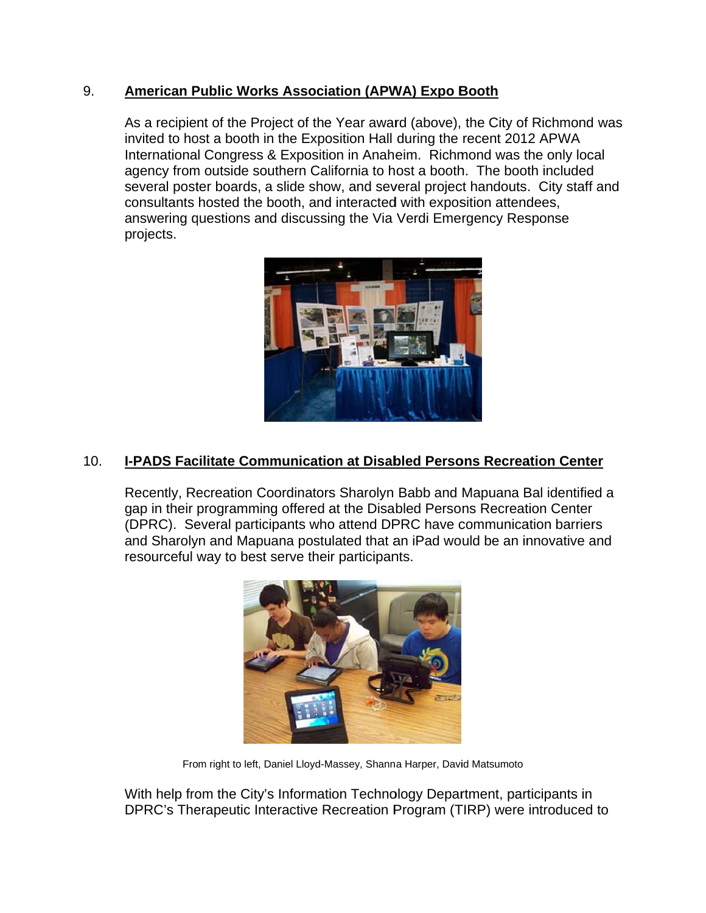#### 9. **American Public Works Association (APWA) Expo Booth**

As a recipient of the Project of the Year award (above), the City of Richmond was invited to host a booth in the Exposition Hall during the recent 2012 APWA International Congress & Exposition in Anaheim. Richmond was the only local agency from outside southern California to host a booth. The booth included several poster boards, a slide show, and several project handouts. City staff and consultants hosted the booth, and interacted with exposition attendees, answering questions and discussing the Via Verdi Emergency Response projects.



#### **I-PADS Facilitate Communication at Disabled Persons Recreation Center**  $10.$

Recently, Recreation Coordinators Sharolyn Babb and Mapuana Bal identified a gap in their programming offered at the Disabled Persons Recreation Center (DPRC). Several participants who attend DPRC have communication barriers and Sharolyn and Mapuana postulated that an iPad would be an innovative and resourceful way to best serve their participants.



From right to left, Daniel Lloyd-Massey, Shanna Harper, David Matsumoto

With help from the City's Information Technology Department, participants in DPRC's Therapeutic Interactive Recreation Program (TIRP) were introduced to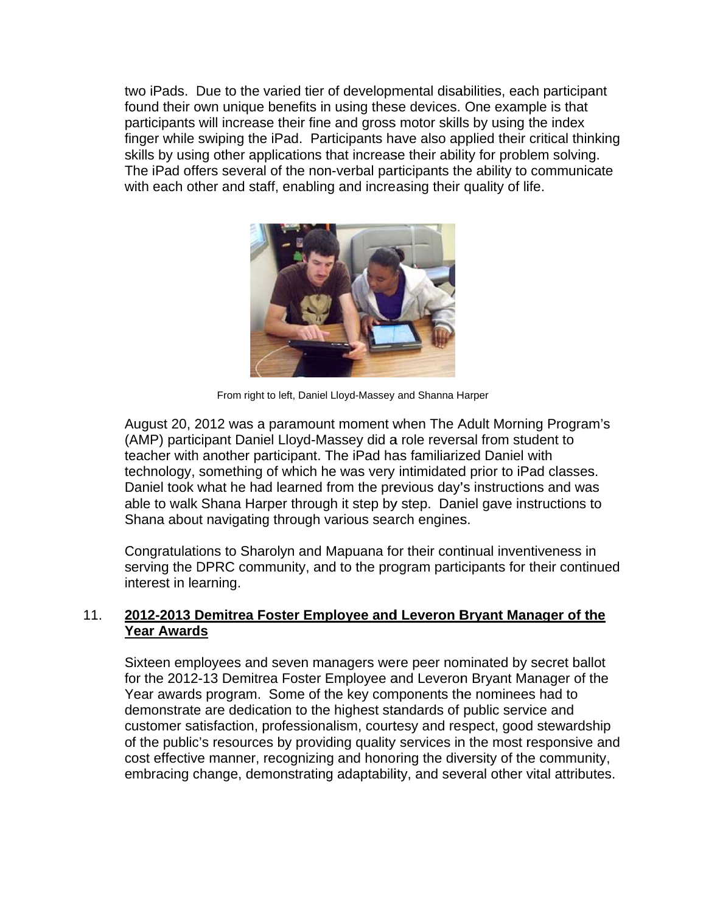two iPads. Due to the varied tier of developmental disabilities, each participant found their own unique benefits in using these devices. One example is that participants will increase their fine and gross motor skills by using the index finger while swiping the iPad. Participants have also applied their critical thinking skills by using other applications that increase their ability for problem solving. The iPad offers several of the non-verbal participants the ability to communicate with each other and staff, enabling and increasing their quality of life.



From right to left, Daniel Lloyd-Massey and Shanna Harper

August 20, 2012 was a paramount moment when The Adult Morning Program's (AMP) participant Daniel Lloyd-Massey did a role reversal from student to teacher with another participant. The iPad has familiarized Daniel with technology, something of which he was very intimidated prior to iPad classes. Daniel took what he had learned from the previous day's instructions and was able to walk Shana Harper through it step by step. Daniel gave instructions to Shana about navigating through various search engines.

Congratulations to Sharolyn and Mapuana for their continual inventiveness in serving the DPRC community, and to the program participants for their continued interest in learning.

### $11.$ 2012-2013 Demitrea Foster Employee and Leveron Bryant Manager of the **Year Awards**

Sixteen employees and seven managers were peer nominated by secret ballot for the 2012-13 Demitrea Foster Employee and Leveron Bryant Manager of the Year awards program. Some of the key components the nominees had to demonstrate are dedication to the highest standards of public service and customer satisfaction, professionalism, courtesy and respect, good stewardship of the public's resources by providing quality services in the most responsive and cost effective manner, recognizing and honoring the diversity of the community, embracing change, demonstrating adaptability, and several other vital attributes.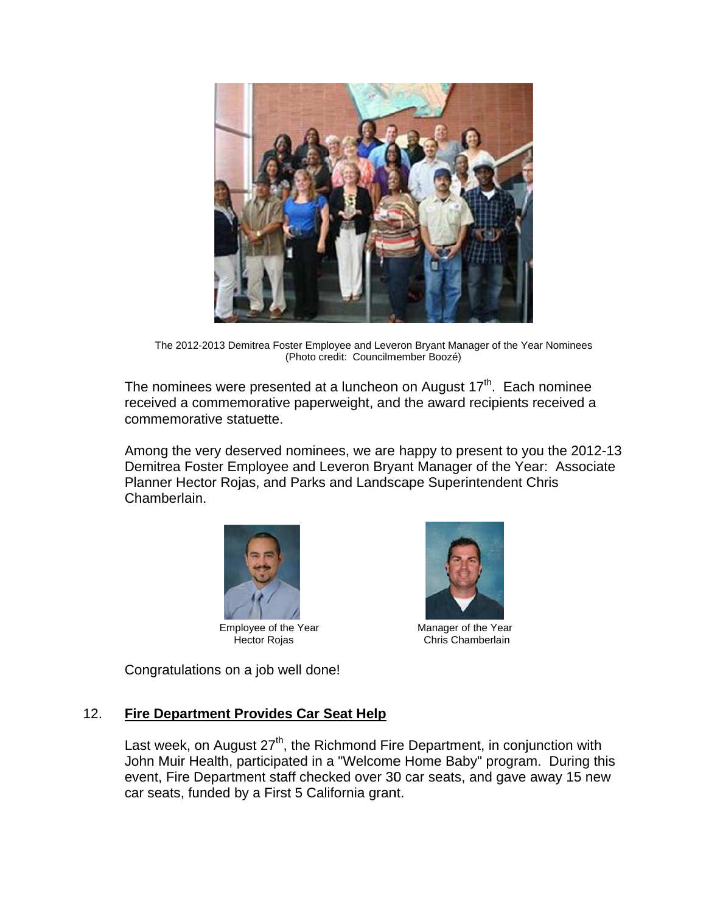

The 2012-2013 Demitrea Foster Employee and Leveron Bryant Manager of the Year Nominees (Photo credit: Councilmember Boozé)

The nominees were presented at a luncheon on August  $17<sup>th</sup>$ . Each nominee received a commemorative paperweight, and the award recipients received a commemorative statuette.

Among the very deserved nominees, we are happy to present to you the 2012-13 Demitrea Foster Employee and Leveron Bryant Manager of the Year: Associate Planner Hector Rojas, and Parks and Landscape Superintendent Chris Chamberlain.





Manager of the Year Chris Chamberlain

Congratulations on a job well done!

#### $12.$ **Fire Department Provides Car Seat Help**

Last week, on August 27<sup>th</sup>, the Richmond Fire Department, in conjunction with John Muir Health, participated in a "Welcome Home Baby" program. During this event, Fire Department staff checked over 30 car seats, and gave away 15 new car seats, funded by a First 5 California grant.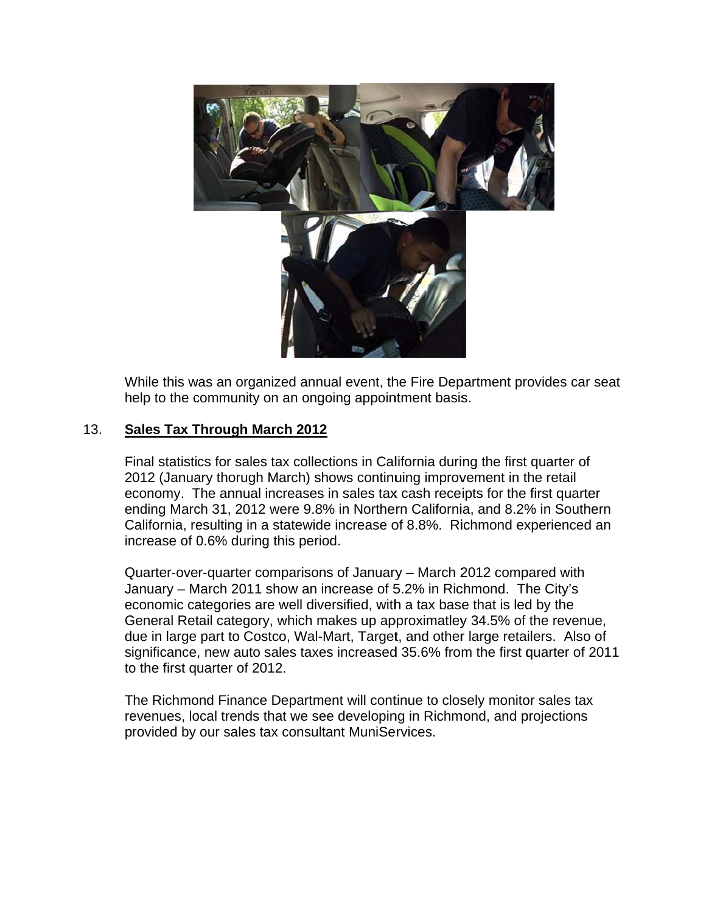

While this was an organized annual event, the Fire Department provides car seat help to the community on an ongoing appointment basis.

#### $13.$ **Sales Tax Through March 2012**

Final statistics for sales tax collections in California during the first quarter of 2012 (January thorugh March) shows continuing improvement in the retail economy. The annual increases in sales tax cash receipts for the first quarter ending March 31, 2012 were 9.8% in Northern California, and 8.2% in Southern California, resulting in a statewide increase of 8.8%. Richmond experienced an increase of 0.6% during this period.

Quarter-over-quarter comparisons of January – March 2012 compared with January – March 2011 show an increase of 5.2% in Richmond. The City's economic categories are well diversified, with a tax base that is led by the General Retail category, which makes up approximatley 34.5% of the revenue, due in large part to Costco, Wal-Mart, Target, and other large retailers. Also of significance, new auto sales taxes increased 35.6% from the first quarter of 2011 to the first quarter of 2012.

The Richmond Finance Department will continue to closely monitor sales tax revenues, local trends that we see developing in Richmond, and projections provided by our sales tax consultant MuniServices.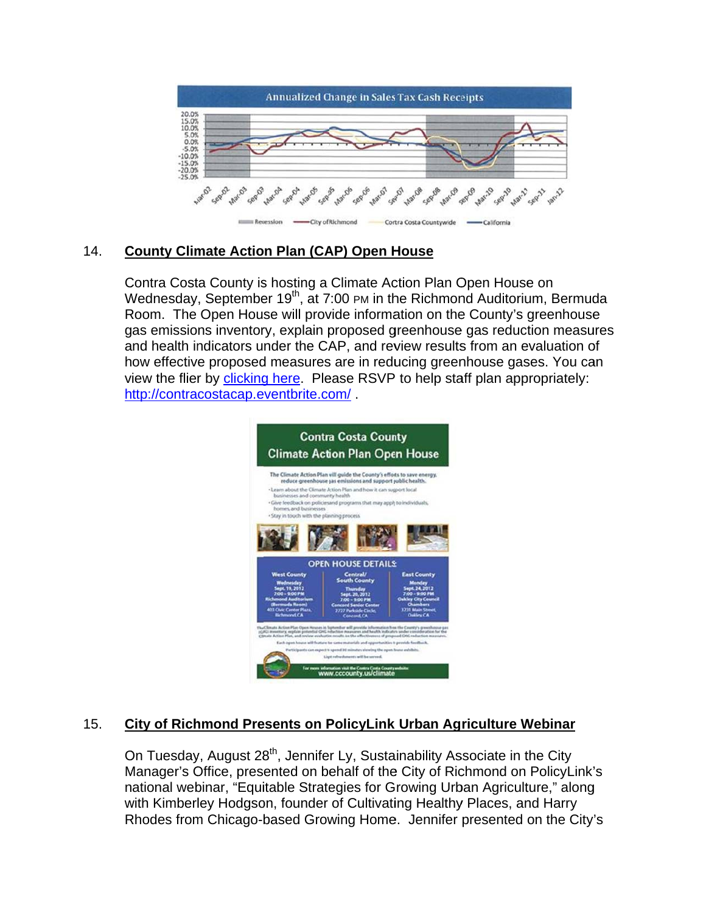

#### 14. **County Climate Action Plan (CAP) Open House**

Contra Costa County is hosting a Climate Action Plan Open House on Wednesday, September 19<sup>th</sup>, at 7:00 PM in the Richmond Auditorium, Bermuda Room. The Open House will provide information on the County's greenhouse gas emissions inventory, explain proposed greenhouse gas reduction measures and health indicators under the CAP, and review results from an evaluation of how effective proposed measures are in reducing greenhouse gases. You can view the flier by clicking here. Please RSVP to help staff plan appropriately: http://contracostacap.eventbrite.com/



#### $15.$ City of Richmond Presents on PolicyLink Urban Agriculture Webinar

On Tuesday, August 28<sup>th</sup>, Jennifer Ly, Sustainability Associate in the City Manager's Office, presented on behalf of the City of Richmond on PolicyLink's national webinar, "Equitable Strategies for Growing Urban Agriculture," along with Kimberley Hodgson, founder of Cultivating Healthy Places, and Harry Rhodes from Chicago-based Growing Home. Jennifer presented on the City's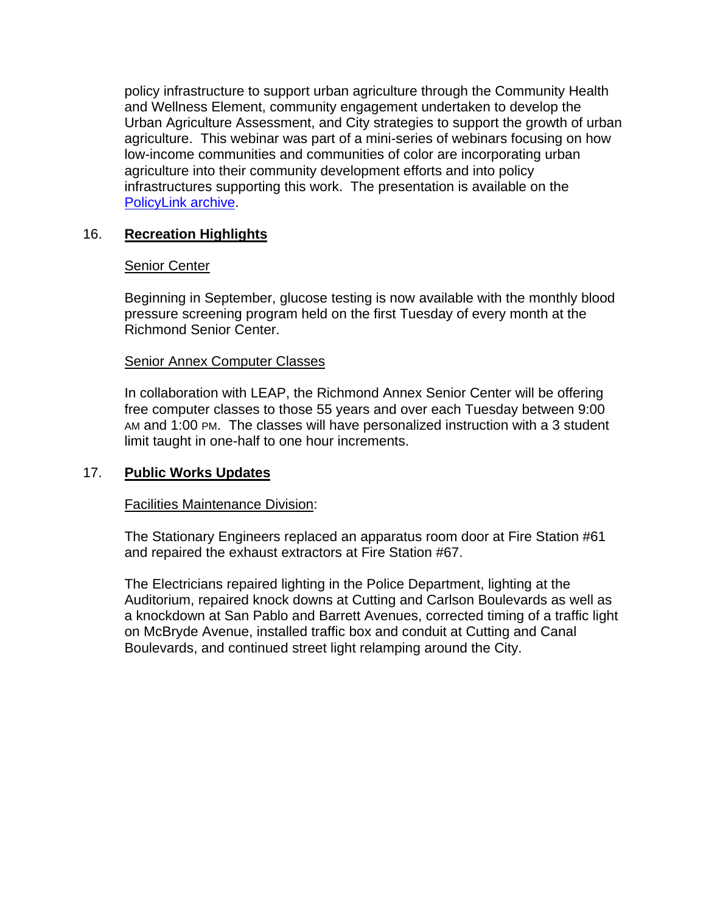policy infrastructure to support urban agriculture through the Community Health and Wellness Element, community engagement undertaken to develop the Urban Agriculture Assessment, and City strategies to support the growth of urban agriculture. This webinar was part of a mini-series of webinars focusing on how low-income communities and communities of color are incorporating urban agriculture into their community development efforts and into policy infrastructures supporting this work. The presentation is available on the PolicyLink archive.

# 16. **Recreation Highlights**

### Senior Center

Beginning in September, glucose testing is now available with the monthly blood pressure screening program held on the first Tuesday of every month at the Richmond Senior Center.

### Senior Annex Computer Classes

In collaboration with LEAP, the Richmond Annex Senior Center will be offering free computer classes to those 55 years and over each Tuesday between 9:00 AM and 1:00 PM. The classes will have personalized instruction with a 3 student limit taught in one-half to one hour increments.

### 17. **Public Works Updates**

### Facilities Maintenance Division:

The Stationary Engineers replaced an apparatus room door at Fire Station #61 and repaired the exhaust extractors at Fire Station #67.

The Electricians repaired lighting in the Police Department, lighting at the Auditorium, repaired knock downs at Cutting and Carlson Boulevards as well as a knockdown at San Pablo and Barrett Avenues, corrected timing of a traffic light on McBryde Avenue, installed traffic box and conduit at Cutting and Canal Boulevards, and continued street light relamping around the City.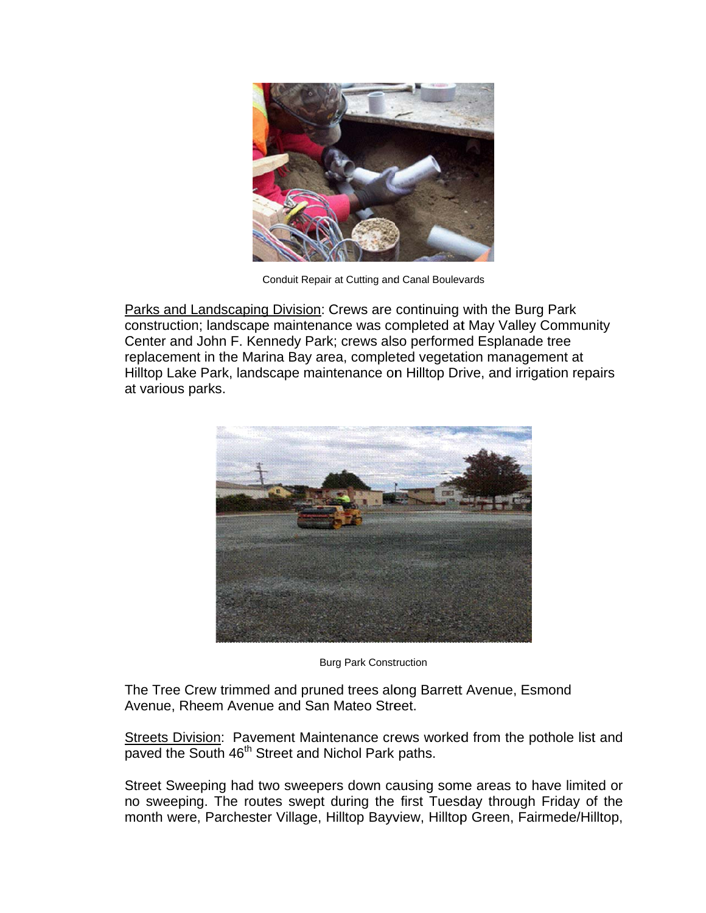

Conduit Repair at Cutting and Canal Boulevards

Parks and Landscaping Division: Crews are continuing with the Burg Park construction; landscape maintenance was completed at May Valley Community Center and John F. Kennedy Park; crews also performed Esplanade tree replacement in the Marina Bay area, completed vegetation management at Hilltop Lake Park, landscape maintenance on Hilltop Drive, and irrigation repairs at various parks.



**Burg Park Construction** 

The Tree Crew trimmed and pruned trees along Barrett Avenue, Esmond Avenue, Rheem Avenue and San Mateo Street.

Streets Division: Pavement Maintenance crews worked from the pothole list and paved the South 46<sup>th</sup> Street and Nichol Park paths.

Street Sweeping had two sweepers down causing some areas to have limited or no sweeping. The routes swept during the first Tuesday through Friday of the month were, Parchester Village, Hilltop Bayview, Hilltop Green, Fairmede/Hilltop,